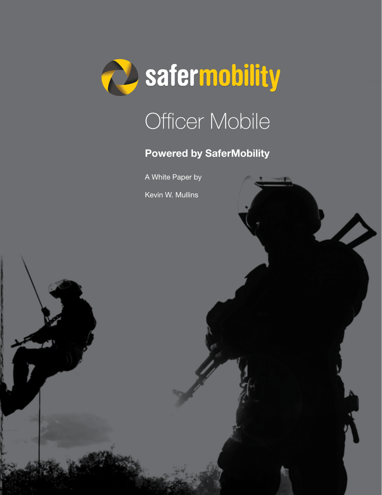

# Officer Mobile

#### Powered by SaferMobility

A White Paper by

Kevin W. Mullins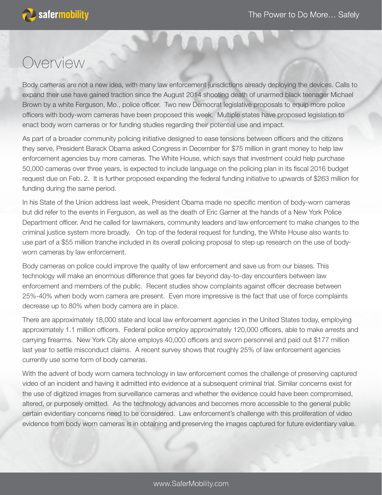

### Overview

Body cameras are not a new idea, with many law enforcement jurisdictions already deploying the devices. Calls to expand their use have gained traction since the August 2014 shooting death of unarmed black teenager Michael Brown by a white Ferguson, Mo., police officer. Two new Democrat legislative proposals to equip more police officers with body-worn cameras have been proposed this week. Multiple states have proposed legislation to enact body worn cameras or for funding studies regarding their potential use and impact.

As part of a broader community policing initiative designed to ease tensions between officers and the citizens they serve, President Barack Obama asked Congress in December for \$75 million in grant money to help law enforcement agencies buy more cameras. The White House, which says that investment could help purchase 50,000 cameras over three years, is expected to include language on the policing plan in its fiscal 2016 budget request due on Feb. 2. It is further proposed expanding the federal funding initiative to upwards of \$263 million for funding during the same period.

In his State of the Union address last week, President Obama made no specific mention of body-worn cameras but did refer to the events in Ferguson, as well as the death of Eric Garner at the hands of a New York Police Department officer. And he called for lawmakers, community leaders and law enforcement to make changes to the criminal justice system more broadly. On top of the federal request for funding, the White House also wants to use part of a \$55 million tranche included in its overall policing proposal to step up research on the use of bodyworn cameras by law enforcement.

Body cameras on police could improve the quality of law enforcement and save us from our biases. This technology will make an enormous difference that goes far beyond day-to-day encounters between law enforcement and members of the public. Recent studies show complaints against officer decrease between 25%-40% when body worn camera are present. Even more impressive is the fact that use of force complaints decrease up to 80% when body camera are in place.

There are approximately 18,000 state and local law enforcement agencies in the United States today, employing approximately 1.1 million officers. Federal police employ approximately 120,000 officers, able to make arrests and carrying firearms. New York City alone employs 40,000 officers and sworn personnel and paid out \$177 million last year to settle misconduct claims. A recent survey shows that roughly 25% of law enforcement agencies currently use some form of body cameras.

With the advent of body worn camera technology in law enforcement comes the challenge of preserving captured video of an incident and having it admitted into evidence at a subsequent criminal trial. Similar concerns exist for the use of digitized images from surveillance cameras and whether the evidence could have been compromised, altered, or purposely omitted. As the technology advances and becomes more accessible to the general public certain evidentiary concerns need to be considered. Law enforcement's challenge with this proliferation of video evidence from body worn cameras is in obtaining and preserving the images captured for future evidentiary value.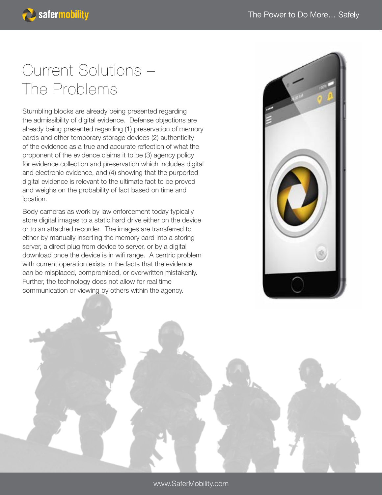## Current Solutions – The Problems

**B** safermobility

Stumbling blocks are already being presented regarding the admissibility of digital evidence. Defense objections are already being presented regarding (1) preservation of memory cards and other temporary storage devices (2) authenticity of the evidence as a true and accurate reflection of what the proponent of the evidence claims it to be (3) agency policy for evidence collection and preservation which includes digital and electronic evidence, and (4) showing that the purported digital evidence is relevant to the ultimate fact to be proved and weighs on the probability of fact based on time and location.

Body cameras as work by law enforcement today typically store digital images to a static hard drive either on the device or to an attached recorder. The images are transferred to either by manually inserting the memory card into a storing server, a direct plug from device to server, or by a digital download once the device is in wifi range. A centric problem with current operation exists in the facts that the evidence can be misplaced, compromised, or overwritten mistakenly. Further, the technology does not allow for real time communication or viewing by others within the agency.



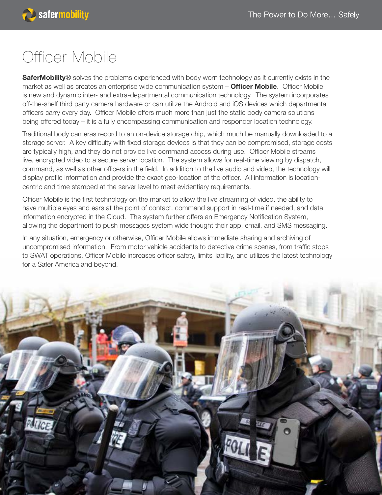## Officer Mobile

SaferMobility® solves the problems experienced with body worn technology as it currently exists in the market as well as creates an enterprise wide communication system - Officer Mobile. Officer Mobile is new and dynamic inter- and extra-departmental communication technology. The system incorporates off-the-shelf third party camera hardware or can utilize the Android and iOS devices which departmental officers carry every day. Officer Mobile offers much more than just the static body camera solutions being offered today – it is a fully encompassing communication and responder location technology.

Traditional body cameras record to an on-device storage chip, which much be manually downloaded to a storage server. A key difficulty with fixed storage devices is that they can be compromised, storage costs are typically high, and they do not provide live command access during use. Officer Mobile streams live, encrypted video to a secure server location. The system allows for real-time viewing by dispatch, command, as well as other officers in the field. In addition to the live audio and video, the technology will display profile information and provide the exact geo-location of the officer. All information is locationcentric and time stamped at the server level to meet evidentiary requirements.

Officer Mobile is the first technology on the market to allow the live streaming of video, the ability to have multiple eyes and ears at the point of contact, command support in real-time if needed, and data information encrypted in the Cloud. The system further offers an Emergency Notification System, allowing the department to push messages system wide thought their app, email, and SMS messaging.

In any situation, emergency or otherwise, Officer Mobile allows immediate sharing and archiving of uncompromised information. From motor vehicle accidents to detective crime scenes, from traffic stops to SWAT operations, Officer Mobile increases officer safety, limits liability, and utilizes the latest technology for a Safer America and beyond.